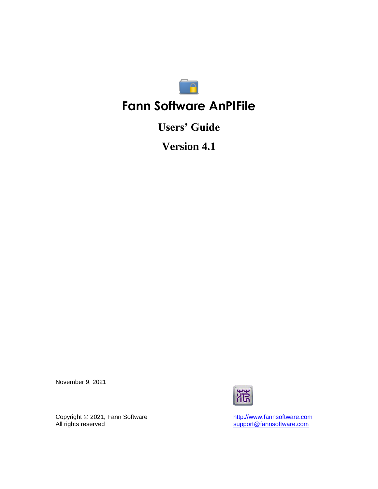

# **Fann Software AnPIFile**

**Users' Guide**

**Version 4.1**

November 9, 2021



Copyright  $@$  2021, Fann Software Copyright © 2021, Fann Software<br>All rights reserved<br>All rights reserved<br>Support@fannsoftware.com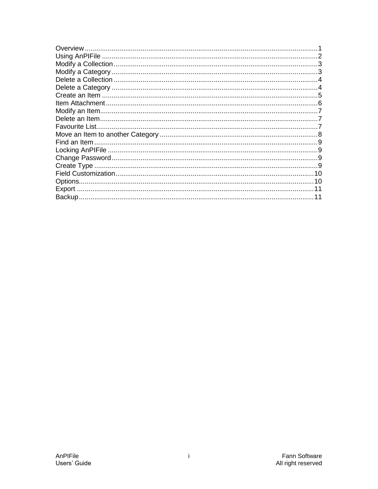| Overview.      |  |
|----------------|--|
|                |  |
|                |  |
|                |  |
|                |  |
|                |  |
|                |  |
|                |  |
|                |  |
|                |  |
| Favourite List |  |
|                |  |
|                |  |
|                |  |
|                |  |
|                |  |
|                |  |
|                |  |
|                |  |
|                |  |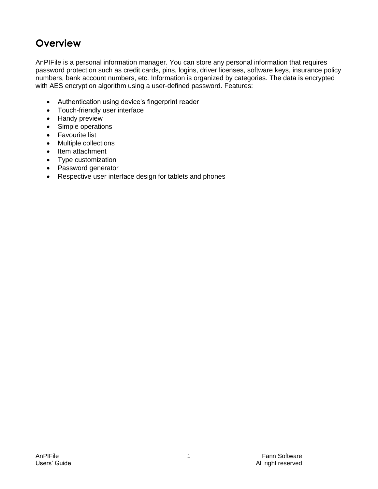# <span id="page-2-0"></span>**Overview**

AnPIFile is a personal information manager. You can store any personal information that requires password protection such as credit cards, pins, logins, driver licenses, software keys, insurance policy numbers, bank account numbers, etc. Information is organized by categories. The data is encrypted with AES encryption algorithm using a user-defined password. Features:

- Authentication using device's fingerprint reader
- Touch-friendly user interface
- Handy preview
- Simple operations
- Favourite list
- Multiple collections
- Item attachment
- Type customization
- Password generator
- Respective user interface design for tablets and phones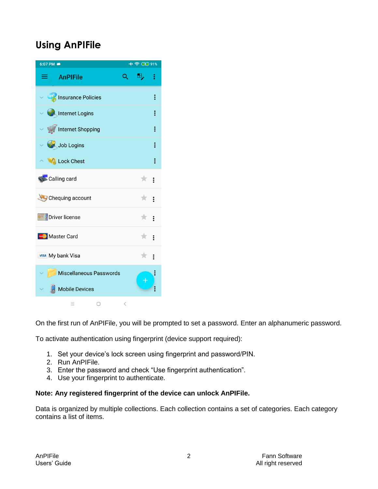# <span id="page-3-0"></span>**Using AnPIFile**



On the first run of AnPIFile, you will be prompted to set a password. Enter an alphanumeric password.

To activate authentication using fingerprint (device support required):

- 1. Set your device's lock screen using fingerprint and password/PIN.
- 2. Run AnPIFile.
- 3. Enter the password and check "Use fingerprint authentication".
- 4. Use your fingerprint to authenticate.

#### **Note: Any registered fingerprint of the device can unlock AnPIFile.**

Data is organized by multiple collections. Each collection contains a set of categories. Each category contains a list of items.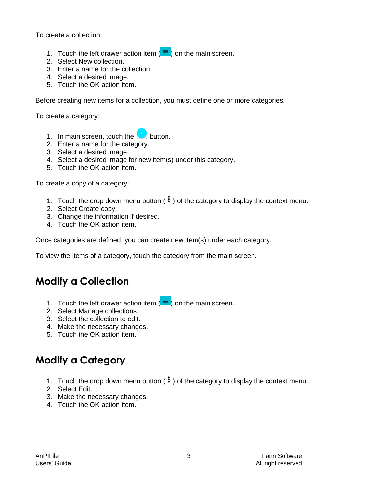To create a collection:

- 1. Touch the left drawer action item  $(\equiv)$  on the main screen.
- 2. Select New collection.
- 3. Enter a name for the collection.
- 4. Select a desired image.
- 5. Touch the OK action item.

Before creating new items for a collection, you must define one or more categories.

To create a category:

- 1. In main screen, touch the **button**.
- 2. Enter a name for the category.
- 3. Select a desired image.
- 4. Select a desired image for new item(s) under this category.
- 5. Touch the OK action item.

To create a copy of a category:

- 1. Touch the drop down menu button  $(\cdot\cdot)$  of the category to display the context menu.
- 2. Select Create copy.
- 3. Change the information if desired.
- 4. Touch the OK action item.

Once categories are defined, you can create new item(s) under each category.

To view the items of a category, touch the category from the main screen.

#### <span id="page-4-0"></span>**Modify a Collection**

- 1. Touch the left drawer action item  $(\equiv)$  on the main screen.
- 2. Select Manage collections.
- 3. Select the collection to edit.
- 4. Make the necessary changes.
- 5. Touch the OK action item.

# <span id="page-4-1"></span>**Modify a Category**

- 1. Touch the drop down menu button  $(\cdot\cdot)$  of the category to display the context menu.
- 2. Select Edit.
- 3. Make the necessary changes.
- 4. Touch the OK action item.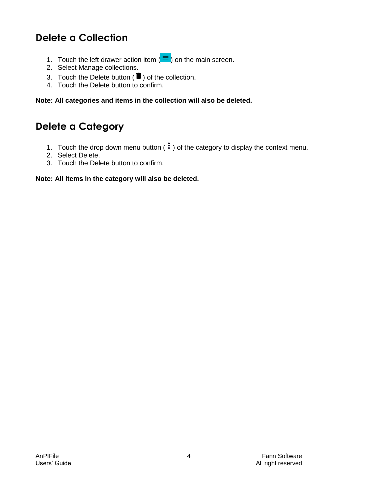# <span id="page-5-0"></span>**Delete a Collection**

- 1. Touch the left drawer action item  $(\equiv)$  on the main screen.
- 2. Select Manage collections.
- 3. Touch the Delete button ( $\blacksquare$ ) of the collection.
- 4. Touch the Delete button to confirm.

**Note: All categories and items in the collection will also be deleted.**

#### <span id="page-5-1"></span>**Delete a Category**

- 1. Touch the drop down menu button  $(\cdot)$  of the category to display the context menu.
- 2. Select Delete.
- 3. Touch the Delete button to confirm.

**Note: All items in the category will also be deleted.**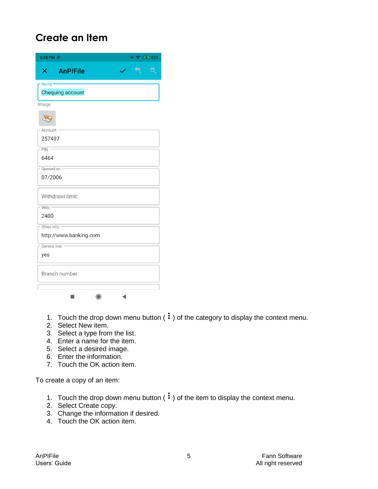# <span id="page-6-0"></span>**Create an Item**

| $+$ $\approx$ $\circledast$ 82%<br>3:48 PM P |
|----------------------------------------------|
| <b>AnPIFile</b><br>ò,<br>$\times$ .          |
| Name ·<br>Chequing account                   |
|                                              |
| Image                                        |
|                                              |
| Account:                                     |
| 257497                                       |
| PIN:                                         |
| 6464                                         |
| Opened on:                                   |
| 07/2006                                      |
| Withdrawl limit:                             |
| Web: -                                       |
| 2400                                         |
| Other info:                                  |
| http://www.banking.com                       |
| Service line:                                |
| yes                                          |
| Branch number:                               |
| ◀                                            |

1. Touch the drop down menu button  $(\mathbf{\dot{.}})$  of the category to display the context menu.

- 2. Select New item.
- 3. Select a type from the list.
- 4. Enter a name for the item.
- 5. Select a desired image.
- 6. Enter the information.
- 7. Touch the OK action item.

To create a copy of an item:

- 1. Touch the drop down menu button  $(\cdot)$  of the item to display the context menu.
- 2. Select Create copy.
- 3. Change the information if desired.
- 4. Touch the OK action item.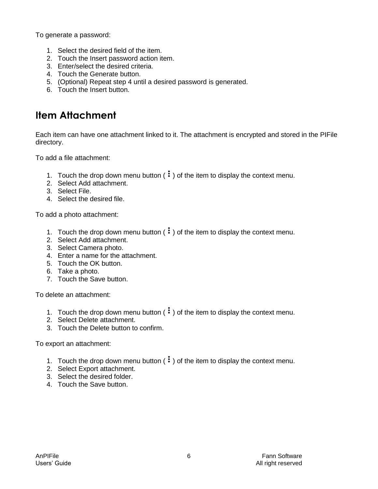To generate a password:

- 1. Select the desired field of the item.
- 2. Touch the Insert password action item.
- 3. Enter/select the desired criteria.
- 4. Touch the Generate button.
- 5. (Optional) Repeat step 4 until a desired password is generated.
- 6. Touch the Insert button.

# <span id="page-7-0"></span>**Item Attachment**

Each item can have one attachment linked to it. The attachment is encrypted and stored in the PIFile directory.

To add a file attachment:

- 1. Touch the drop down menu button  $(\cdot)$  of the item to display the context menu.
- 2. Select Add attachment.
- 3. Select File.
- 4. Select the desired file.

To add a photo attachment:

- 1. Touch the drop down menu button  $(\cdot\cdot)$  of the item to display the context menu.
- 2. Select Add attachment.
- 3. Select Camera photo.
- 4. Enter a name for the attachment.
- 5. Touch the OK button.
- 6. Take a photo.
- 7. Touch the Save button.

To delete an attachment:

- 1. Touch the drop down menu button  $(\cdot)$  of the item to display the context menu.
- 2. Select Delete attachment.
- 3. Touch the Delete button to confirm.

To export an attachment:

- 1. Touch the drop down menu button  $(\cdot\cdot)$  of the item to display the context menu.
- 2. Select Export attachment.
- 3. Select the desired folder.
- 4. Touch the Save button.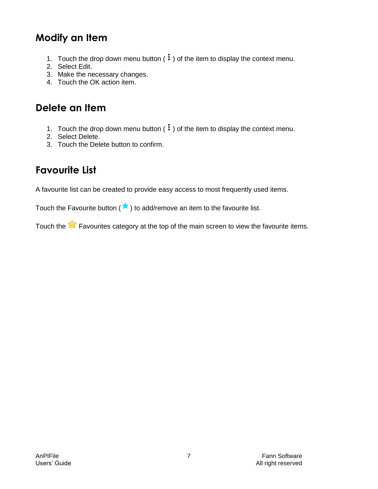# <span id="page-8-0"></span>**Modify an Item**

- 1. Touch the drop down menu button  $(\cdot)$  of the item to display the context menu.
- 2. Select Edit.
- 3. Make the necessary changes.
- 4. Touch the OK action item.

#### <span id="page-8-1"></span>**Delete an Item**

- 1. Touch the drop down menu button  $(\cdot)$  of the item to display the context menu.
- 2. Select Delete.
- 3. Touch the Delete button to confirm.

#### <span id="page-8-2"></span>**Favourite List**

A favourite list can be created to provide easy access to most frequently used items.

Touch the Favourite button  $(\star)$  to add/remove an item to the favourite list.

Touch the  $\mathbb{R}$  Favourites category at the top of the main screen to view the favourite items.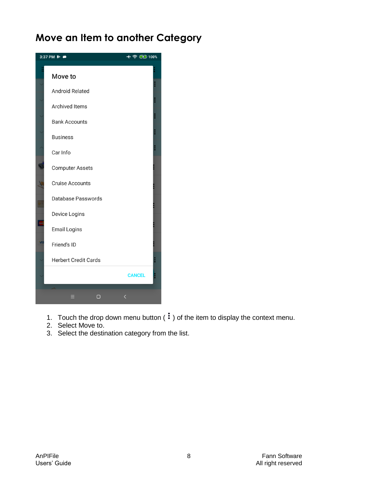# <span id="page-9-0"></span>**Move an Item to another Category**



- 1. Touch the drop down menu button  $(\mathbf{\dot{:}})$  of the item to display the context menu.
- 2. Select Move to.
- 3. Select the destination category from the list.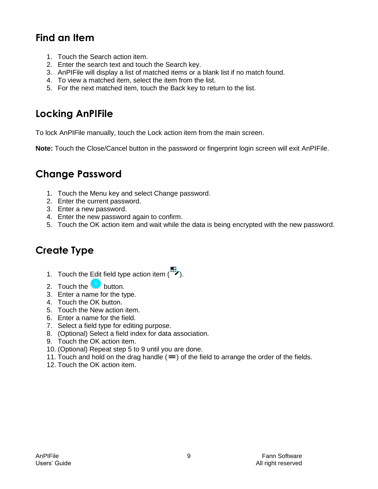# <span id="page-10-0"></span>**Find an Item**

- 1. Touch the Search action item.
- 2. Enter the search text and touch the Search key.
- 3. AnPIFile will display a list of matched items or a blank list if no match found.
- 4. To view a matched item, select the item from the list.
- 5. For the next matched item, touch the Back key to return to the list.

## <span id="page-10-1"></span>**Locking AnPIFile**

To lock AnPIFile manually, touch the Lock action item from the main screen.

**Note:** Touch the Close/Cancel button in the password or fingerprint login screen will exit AnPIFile.

#### <span id="page-10-2"></span>**Change Password**

- 1. Touch the Menu key and select Change password.
- 2. Enter the current password.
- 3. Enter a new password.
- 4. Enter the new password again to confirm.
- 5. Touch the OK action item and wait while the data is being encrypted with the new password.

#### <span id="page-10-3"></span>**Create Type**

- 1. Touch the Edit field type action item  $\begin{pmatrix} \mathbb{H} \\ \mathbb{I} \end{pmatrix}$ .
- 2. Touch the  $\bigcup$  button.
- 3. Enter a name for the type.
- 4. Touch the OK button.
- 5. Touch the New action item.
- 6. Enter a name for the field.
- 7. Select a field type for editing purpose.
- 8. (Optional) Select a field index for data association.
- 9. Touch the OK action item.
- 10. (Optional) Repeat step 5 to 9 until you are done.
- 11. Touch and hold on the drag handle  $( = )$  of the field to arrange the order of the fields.
- 12. Touch the OK action item.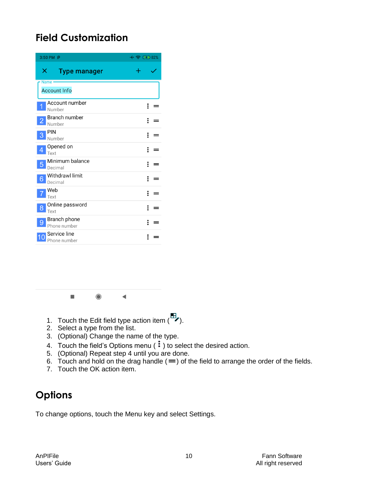# <span id="page-11-0"></span>**Field Customization**

| 3:50 PM P                                | $+$ @ (2) 82% |
|------------------------------------------|---------------|
| ×<br><b>Type manager</b>                 |               |
| Name -<br><b>Account Info</b>            |               |
| Account number<br>Number                 | ፧             |
| Branch number<br>2<br>Number             | ፧             |
| <b>PIN</b><br>3<br>Number                | ፧             |
| Opened on<br>4<br>Text                   | ፡             |
| Minimum balance<br>5<br>Decimal          |               |
| <b>Withdrawl limit</b><br>6<br>Decimal   | ፡             |
| Web<br>Text                              | ፧             |
| Online password<br>8<br>Text             | ፡             |
| <b>Branch phone</b><br>9<br>Phone number |               |
| Service line<br>Phone number             |               |

 $\blacksquare$  $\bigcirc$  $\blacktriangleleft$ 

- 1. Touch the Edit field type action item  $\begin{pmatrix} \mathbb{H} \\ \mathbb{I} \end{pmatrix}$ .
- 2. Select a type from the list.
- 3. (Optional) Change the name of the type.
- 4. Touch the field's Options menu  $(\cdot)$  to select the desired action.
- 5. (Optional) Repeat step 4 until you are done.
- 6. Touch and hold on the drag handle  $( = )$  of the field to arrange the order of the fields.
- 7. Touch the OK action item.

# <span id="page-11-1"></span>**Options**

To change options, touch the Menu key and select Settings.